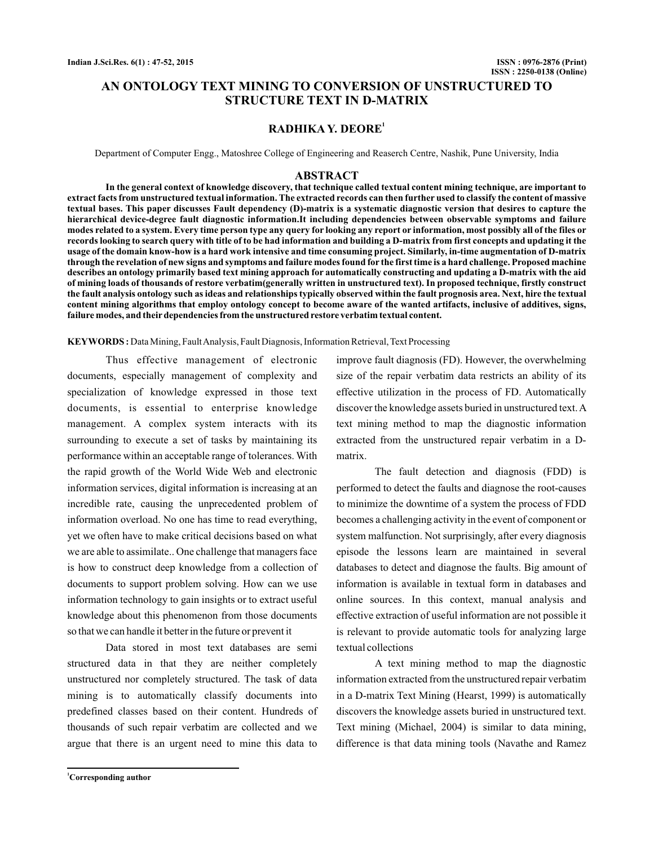# **AN ONTOLOGY TEXT MINING TO CONVERSION OF UNSTRUCTURED TO STRUCTURE TEXT IN D-MATRIX**

# **RADHIKA Y. DEORE<sup>1</sup>**

Department of Computer Engg., Matoshree College of Engineering and Reaserch Centre, Nashik, Pune University, India

#### **ABSTRACT**

**In the general context of knowledge discovery, that technique called textual content mining technique, are important to extract facts from unstructured textual information. The extracted records can then further used to classify the content of massive textual bases. This paper discusses Fault dependency (D)-matrix is a systematic diagnostic version that desires to capture the hierarchical device-degree fault diagnostic information.It including dependencies between observable symptoms and failure modes related to a system. Every time person type any query for looking any report or information, most possibly all of the files or records looking to search query with title of to be had information and building a D-matrix from first concepts and updating it the usage of the domain know-how is a hard work intensive and time consuming project. Similarly, in-time augmentation of D-matrix through the revelation of new signs and symptoms and failure modes found for the first time is a hard challenge. Proposed machine describes an ontology primarily based text mining approach for automatically constructing and updating a D-matrix with the aid of mining loads of thousands of restore verbatim(generally written in unstructured text). In proposed technique, firstly construct the fault analysis ontology such as ideas and relationships typically observed within the fault prognosis area. Next, hire the textual content mining algorithms that employ ontology concept to become aware of the wanted artifacts, inclusive of additives, signs, failure modes, and their dependencies from the unstructured restore verbatim textual content.**

KEYWORDS: Data Mining, Fault Analysis, Fault Diagnosis, Information Retrieval, Text Processing

Thus effective management of electronic documents, especially management of complexity and specialization of knowledge expressed in those text documents, is essential to enterprise knowledge management. A complex system interacts with its surrounding to execute a set of tasks by maintaining its performance within an acceptable range of tolerances. With the rapid growth of the World Wide Web and electronic information services, digital information is increasing at an incredible rate, causing the unprecedented problem of information overload. No one has time to read everything, yet we often have to make critical decisions based on what we are able to assimilate.. One challenge that managers face is how to construct deep knowledge from a collection of documents to support problem solving. How can we use information technology to gain insights or to extract useful knowledge about this phenomenon from those documents so that we can handle it better in the future or prevent it

Data stored in most text databases are semi structured data in that they are neither completely unstructured nor completely structured. The task of data mining is to automatically classify documents into predefined classes based on their content. Hundreds of thousands of such repair verbatim are collected and we argue that there is an urgent need to mine this data to

improve fault diagnosis (FD). However, the overwhelming size of the repair verbatim data restricts an ability of its effective utilization in the process of FD. Automatically discover the knowledge assets buried in unstructured text.A text mining method to map the diagnostic information extracted from the unstructured repair verbatim in a Dmatrix.

The fault detection and diagnosis (FDD) is performed to detect the faults and diagnose the root-causes to minimize the downtime of a system the process of FDD becomes a challenging activity in the event of component or system malfunction. Not surprisingly, after every diagnosis episode the lessons learn are maintained in several databases to detect and diagnose the faults. Big amount of information is available in textual form in databases and online sources. In this context, manual analysis and effective extraction of useful information are not possible it is relevant to provide automatic tools for analyzing large textual collections

A text mining method to map the diagnostic information extracted from the unstructured repair verbatim in a D-matrix Text Mining (Hearst, 1999) is automatically discovers the knowledge assets buried in unstructured text. Text mining (Michael, 2004) is similar to data mining, difference is that data mining tools (Navathe and Ramez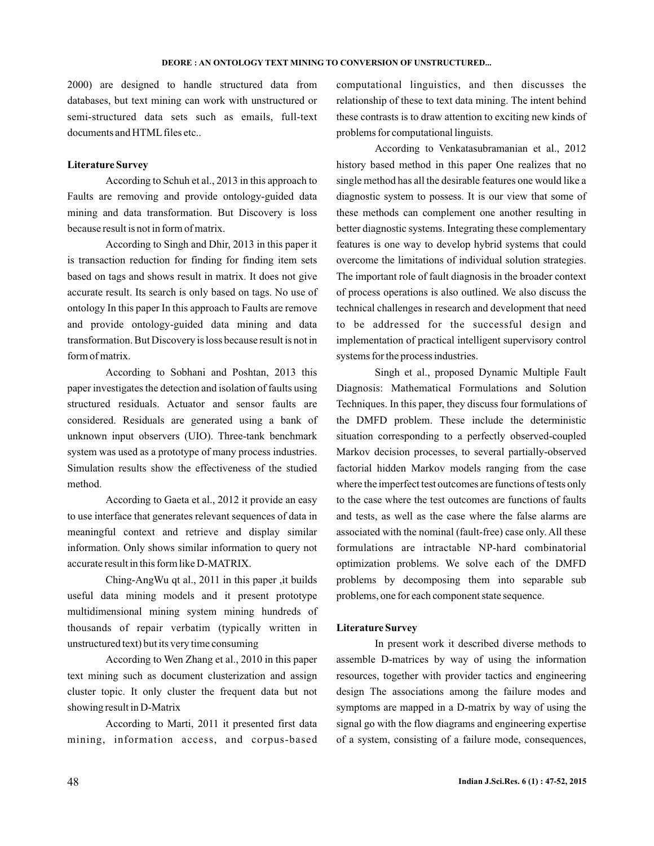#### **DEORE : AN ONTOLOGY TEXT MINING TO CONVERSION OF UNSTRUCTURED...**

2000) are designed to handle structured data from databases, but text mining can work with unstructured or semi-structured data sets such as emails, full-text documents and HTML files etc..

### **Literature Survey**

According to Schuh et al., 2013 in this approach to Faults are removing and provide ontology-guided data mining and data transformation. But Discovery is loss because result is not in form of matrix.

According to Singh and Dhir, 2013 in this paper it is transaction reduction for finding for finding item sets based on tags and shows result in matrix. It does not give accurate result. Its search is only based on tags. No use of ontology In this paper In this approach to Faults are remove and provide ontology-guided data mining and data transformation. But Discovery is loss because result is not in form of matrix.

According to Sobhani and Poshtan, 2013 this paper investigates the detection and isolation of faults using structured residuals. Actuator and sensor faults are considered. Residuals are generated using a bank of unknown input observers (UIO). Three-tank benchmark system was used as a prototype of many process industries. Simulation results show the effectiveness of the studied method.

According to Gaeta et al., 2012 it provide an easy to use interface that generates relevant sequences of data in meaningful context and retrieve and display similar information. Only shows similar information to query not accurate result in this form like D-MATRIX.

Ching-AngWu qt al., 2011 in this paper ,it builds useful data mining models and it present prototype multidimensional mining system mining hundreds of thousands of repair verbatim (typically written in unstructured text) but its very time consuming

According to Wen Zhang et al., 2010 in this paper text mining such as document clusterization and assign cluster topic. It only cluster the frequent data but not showing result in D-Matrix

According to Marti, 2011 it presented first data mining, information access, and corpus-based computational linguistics, and then discusses the relationship of these to text data mining. The intent behind these contrasts is to draw attention to exciting new kinds of problems for computational linguists.

According to Venkatasubramanian et al., 2012 history based method in this paper One realizes that no single method has all the desirable features one would like a diagnostic system to possess. It is our view that some of these methods can complement one another resulting in better diagnostic systems. Integrating these complementary features is one way to develop hybrid systems that could overcome the limitations of individual solution strategies. The important role of fault diagnosis in the broader context of process operations is also outlined. We also discuss the technical challenges in research and development that need to be addressed for the successful design and implementation of practical intelligent supervisory control systems for the process industries.

Singh et al., proposed Dynamic Multiple Fault Diagnosis: Mathematical Formulations and Solution Techniques. In this paper, they discuss four formulations of the DMFD problem. These include the deterministic situation corresponding to a perfectly observed-coupled Markov decision processes, to several partially-observed factorial hidden Markov models ranging from the case where the imperfect test outcomes are functions of tests only to the case where the test outcomes are functions of faults and tests, as well as the case where the false alarms are associated with the nominal (fault-free) case only. All these formulations are intractable NP-hard combinatorial optimization problems. We solve each of the DMFD problems by decomposing them into separable sub problems, one for each component state sequence.

### **Literature Survey**

In present work it described diverse methods to assemble D-matrices by way of using the information resources, together with provider tactics and engineering design The associations among the failure modes and symptoms are mapped in a D-matrix by way of using the signal go with the flow diagrams and engineering expertise of a system, consisting of a failure mode, consequences,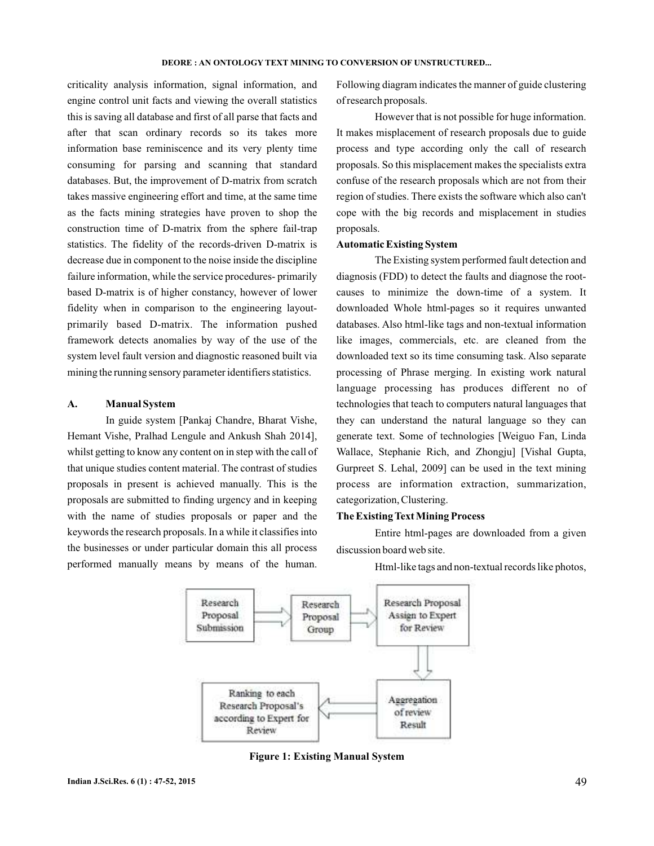criticality analysis information, signal information, and engine control unit facts and viewing the overall statistics this is saving all database and first of all parse that facts and after that scan ordinary records so its takes more information base reminiscence and its very plenty time consuming for parsing and scanning that standard databases. But, the improvement of D-matrix from scratch takes massive engineering effort and time, at the same time as the facts mining strategies have proven to shop the construction time of D-matrix from the sphere fail-trap statistics. The fidelity of the records-driven D-matrix is decrease due in component to the noise inside the discipline failure information, while the service procedures- primarily based D-matrix is of higher constancy, however of lower fidelity when in comparison to the engineering layoutprimarily based D-matrix. The information pushed framework detects anomalies by way of the use of the system level fault version and diagnostic reasoned built via mining the running sensory parameter identifiers statistics.

# **A. Manual System**

In guide system [Pankaj Chandre, Bharat Vishe, Hemant Vishe, Pralhad Lengule and Ankush Shah 2014], whilst getting to know any content on in step with the call of that unique studies content material. The contrast of studies proposals in present is achieved manually. This is the proposals are submitted to finding urgency and in keeping with the name of studies proposals or paper and the keywords the research proposals. In a while it classifies into the businesses or under particular domain this all process performed manually means by means of the human.

Following diagram indicates the manner of guide clustering of research proposals.

However that is not possible for huge information. It makes misplacement of research proposals due to guide process and type according only the call of research proposals. So this misplacement makes the specialists extra confuse of the research proposals which are not from their region of studies. There exists the software which also can't cope with the big records and misplacement in studies proposals.

### **Automatic Existing System**

The Existing system performed fault detection and diagnosis (FDD) to detect the faults and diagnose the rootcauses to minimize the down-time of a system. It downloaded Whole html-pages so it requires unwanted databases. Also html-like tags and non-textual information like images, commercials, etc. are cleaned from the downloaded text so its time consuming task. Also separate processing of Phrase merging. In existing work natural language processing has produces different no of technologies that teach to computers natural languages that they can understand the natural language so they can generate text. Some of technologies [Weiguo Fan, Linda Wallace, Stephanie Rich, and Zhongju] [Vishal Gupta, Gurpreet S. Lehal, 2009] can be used in the text mining process are information extraction, summarization, categorization, Clustering.

### **The Existing Text Mining Process**

Entire html-pages are downloaded from a given discussion board web site.

Html-like tags and non-textual records like photos,



**Figure 1: Existing Manual System**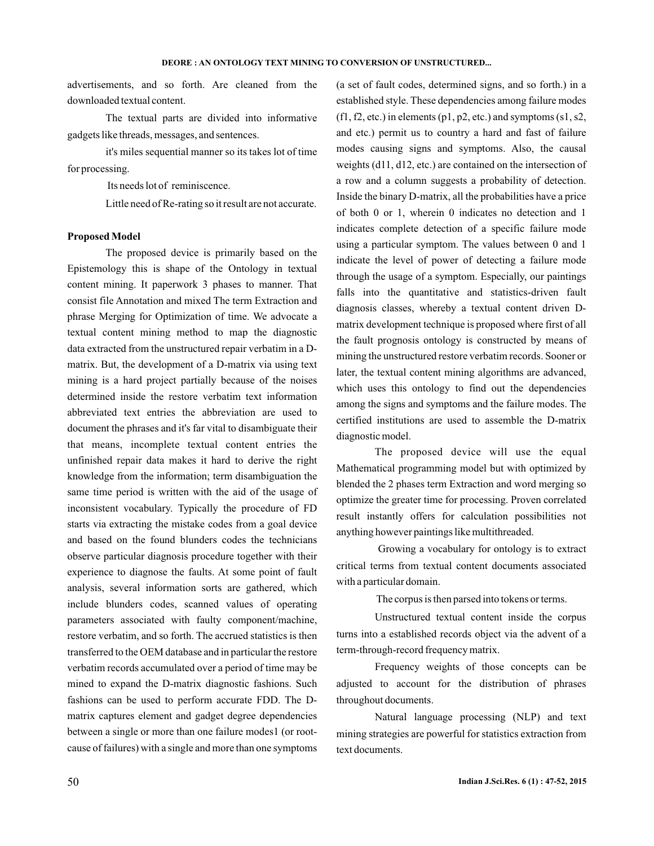advertisements, and so forth. Are cleaned from the downloaded textual content.

The textual parts are divided into informative gadgets like threads, messages, and sentences.

it's miles sequential manner so its takes lot of time for processing.

Its needs lot of reminiscence.

Little need of Re-rating so it result are not accurate.

### **Proposed Model**

The proposed device is primarily based on the Epistemology this is shape of the Ontology in textual content mining. It paperwork 3 phases to manner. That consist file Annotation and mixed The term Extraction and phrase Merging for Optimization of time. We advocate a textual content mining method to map the diagnostic data extracted from the unstructured repair verbatim in a Dmatrix. But, the development of a D-matrix via using text mining is a hard project partially because of the noises determined inside the restore verbatim text information abbreviated text entries the abbreviation are used to document the phrases and it's far vital to disambiguate their that means, incomplete textual content entries the unfinished repair data makes it hard to derive the right knowledge from the information; term disambiguation the same time period is written with the aid of the usage of inconsistent vocabulary. Typically the procedure of FD starts via extracting the mistake codes from a goal device and based on the found blunders codes the technicians observe particular diagnosis procedure together with their experience to diagnose the faults. At some point of fault analysis, several information sorts are gathered, which include blunders codes, scanned values of operating parameters associated with faulty component/machine, restore verbatim, and so forth. The accrued statistics is then transferred to the OEM database and in particular the restore verbatim records accumulated over a period of time may be mined to expand the D-matrix diagnostic fashions. Such fashions can be used to perform accurate FDD. The Dmatrix captures element and gadget degree dependencies between a single or more than one failure modes1 (or rootcause of failures) with a single and more than one symptoms

(a set of fault codes, determined signs, and so forth.) in a established style. These dependencies among failure modes  $(f1, f2, etc.)$  in elements  $(p1, p2, etc.)$  and symptoms  $(s1, s2, ...)$ and etc.) permit us to country a hard and fast of failure modes causing signs and symptoms. Also, the causal weights (d11, d12, etc.) are contained on the intersection of a row and a column suggests a probability of detection. Inside the binary D-matrix, all the probabilities have a price of both 0 or 1, wherein 0 indicates no detection and 1 indicates complete detection of a specific failure mode using a particular symptom. The values between 0 and 1 indicate the level of power of detecting a failure mode through the usage of a symptom. Especially, our paintings falls into the quantitative and statistics-driven fault diagnosis classes, whereby a textual content driven Dmatrix development technique is proposed where first of all the fault prognosis ontology is constructed by means of mining the unstructured restore verbatim records. Sooner or later, the textual content mining algorithms are advanced, which uses this ontology to find out the dependencies among the signs and symptoms and the failure modes. The certified institutions are used to assemble the D-matrix diagnostic model.

The proposed device will use the equal Mathematical programming model but with optimized by blended the 2 phases term Extraction and word merging so optimize the greater time for processing. Proven correlated result instantly offers for calculation possibilities not anything however paintings like multithreaded.

Growing a vocabulary for ontology is to extract critical terms from textual content documents associated with a particular domain.

The corpus is then parsed into tokens or terms.

Unstructured textual content inside the corpus turns into a established records object via the advent of a term-through-record frequency matrix.

Frequency weights of those concepts can be adjusted to account for the distribution of phrases throughout documents.

Natural language processing (NLP) and text mining strategies are powerful for statistics extraction from text documents.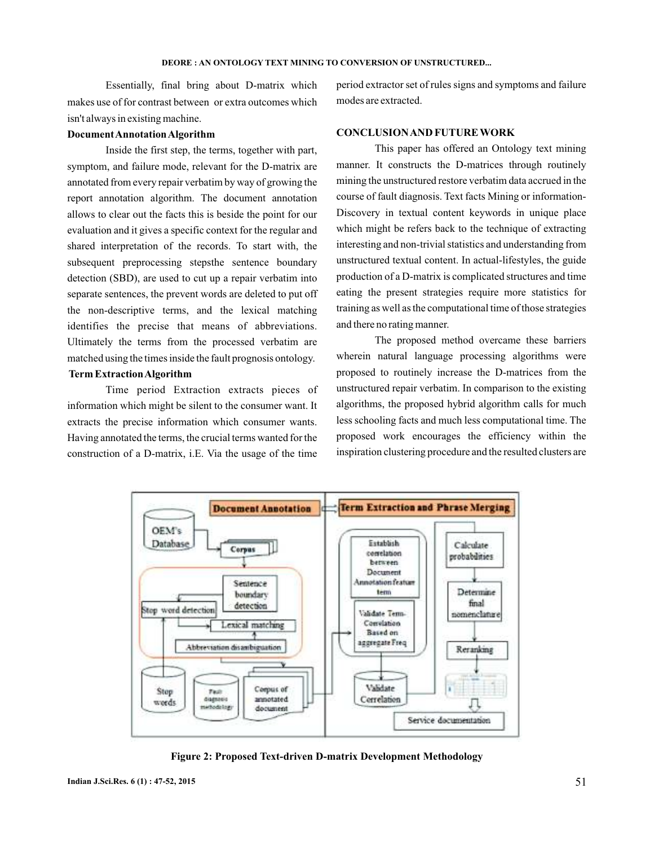#### **DEORE : AN ONTOLOGY TEXT MINING TO CONVERSION OF UNSTRUCTURED...**

Essentially, final bring about D-matrix which makes use of for contrast between or extra outcomes which isn't always in existing machine.

### **DocumentAnnotationAlgorithm**

Inside the first step, the terms, together with part, symptom, and failure mode, relevant for the D-matrix are annotated from every repair verbatim by way of growing the report annotation algorithm. The document annotation allows to clear out the facts this is beside the point for our evaluation and it gives a specific context for the regular and shared interpretation of the records. To start with, the subsequent preprocessing stepsthe sentence boundary detection (SBD), are used to cut up a repair verbatim into separate sentences, the prevent words are deleted to put off the non-descriptive terms, and the lexical matching identifies the precise that means of abbreviations. Ultimately the terms from the processed verbatim are matched using the times inside the fault prognosis ontology.

# **Term ExtractionAlgorithm**

Time period Extraction extracts pieces of information which might be silent to the consumer want. It extracts the precise information which consumer wants. Having annotated the terms, the crucial terms wanted for the construction of a D-matrix, i.E. Via the usage of the time

period extractor set of rules signs and symptoms and failure modes are extracted.

### **CONCLUSIONAND FUTURE WORK**

This paper has offered an Ontology text mining manner. It constructs the D-matrices through routinely mining the unstructured restore verbatim data accrued in the course of fault diagnosis. Text facts Mining or information-Discovery in textual content keywords in unique place which might be refers back to the technique of extracting interesting and non-trivial statistics and understanding from unstructured textual content. In actual-lifestyles, the guide production of a D-matrix is complicated structures and time eating the present strategies require more statistics for training as well as the computational time of those strategies and there no rating manner.

The proposed method overcame these barriers wherein natural language processing algorithms were proposed to routinely increase the D-matrices from the unstructured repair verbatim. In comparison to the existing algorithms, the proposed hybrid algorithm calls for much less schooling facts and much less computational time. The proposed work encourages the efficiency within the inspiration clustering procedure and the resulted clusters are



**Figure 2: Proposed Text-driven D-matrix Development Methodology**